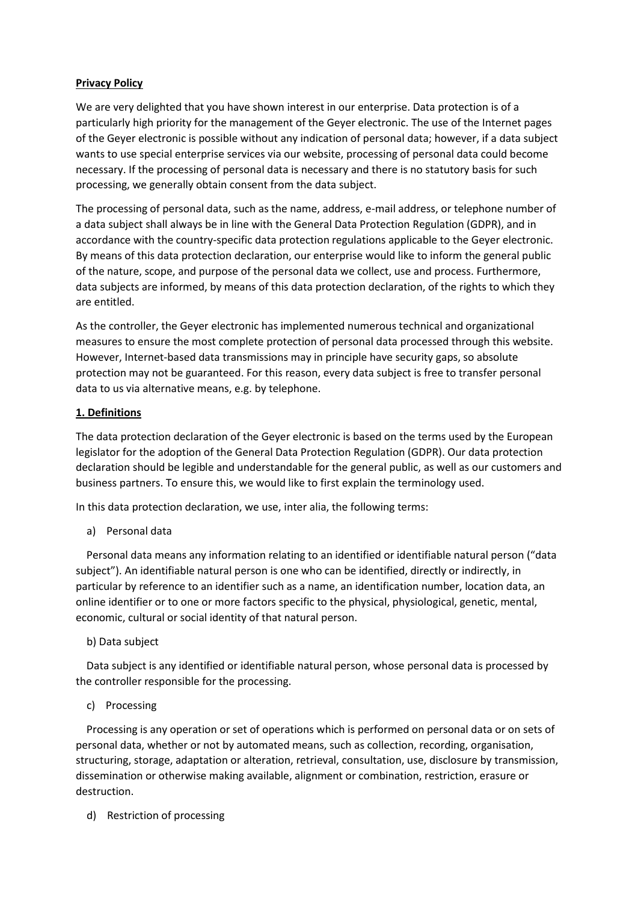## **Privacy Policy**

We are very delighted that you have shown interest in our enterprise. Data protection is of a particularly high priority for the management of the Geyer electronic. The use of the Internet pages of the Geyer electronic is possible without any indication of personal data; however, if a data subject wants to use special enterprise services via our website, processing of personal data could become necessary. If the processing of personal data is necessary and there is no statutory basis for such processing, we generally obtain consent from the data subject.

The processing of personal data, such as the name, address, e-mail address, or telephone number of a data subject shall always be in line with the General Data Protection Regulation (GDPR), and in accordance with the country-specific data protection regulations applicable to the Geyer electronic. By means of this data protection declaration, our enterprise would like to inform the general public of the nature, scope, and purpose of the personal data we collect, use and process. Furthermore, data subjects are informed, by means of this data protection declaration, of the rights to which they are entitled.

As the controller, the Geyer electronic has implemented numerous technical and organizational measures to ensure the most complete protection of personal data processed through this website. However, Internet-based data transmissions may in principle have security gaps, so absolute protection may not be guaranteed. For this reason, every data subject is free to transfer personal data to us via alternative means, e.g. by telephone.

### **1. Definitions**

The data protection declaration of the Geyer electronic is based on the terms used by the European legislator for the adoption of the General Data Protection Regulation (GDPR). Our data protection declaration should be legible and understandable for the general public, as well as our customers and business partners. To ensure this, we would like to first explain the terminology used.

In this data protection declaration, we use, inter alia, the following terms:

a) Personal data

 Personal data means any information relating to an identified or identifiable natural person ("data subject"). An identifiable natural person is one who can be identified, directly or indirectly, in particular by reference to an identifier such as a name, an identification number, location data, an online identifier or to one or more factors specific to the physical, physiological, genetic, mental, economic, cultural or social identity of that natural person.

### b) Data subject

 Data subject is any identified or identifiable natural person, whose personal data is processed by the controller responsible for the processing.

### c) Processing

 Processing is any operation or set of operations which is performed on personal data or on sets of personal data, whether or not by automated means, such as collection, recording, organisation, structuring, storage, adaptation or alteration, retrieval, consultation, use, disclosure by transmission, dissemination or otherwise making available, alignment or combination, restriction, erasure or destruction.

d) Restriction of processing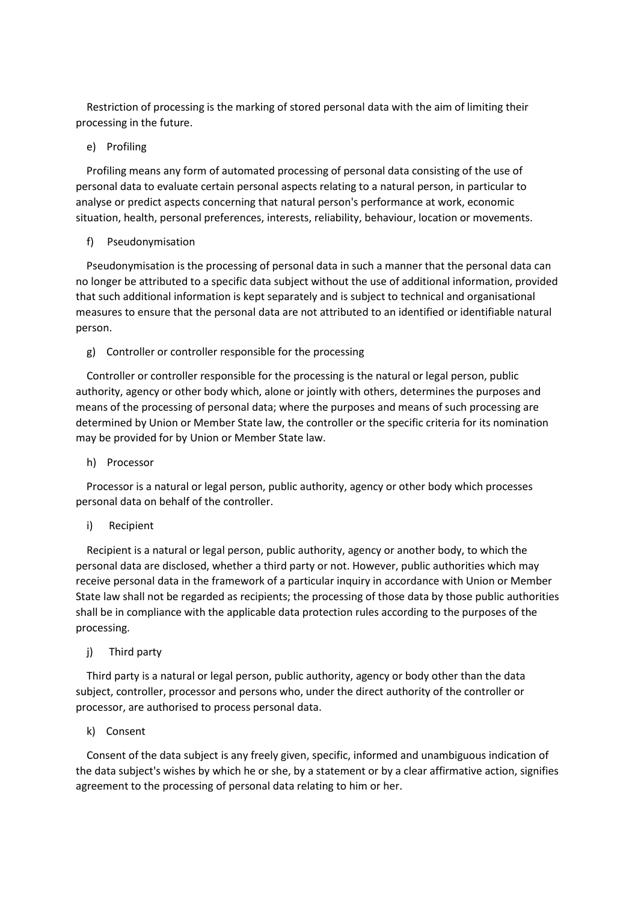Restriction of processing is the marking of stored personal data with the aim of limiting their processing in the future.

### e) Profiling

 Profiling means any form of automated processing of personal data consisting of the use of personal data to evaluate certain personal aspects relating to a natural person, in particular to analyse or predict aspects concerning that natural person's performance at work, economic situation, health, personal preferences, interests, reliability, behaviour, location or movements.

#### f) Pseudonymisation

 Pseudonymisation is the processing of personal data in such a manner that the personal data can no longer be attributed to a specific data subject without the use of additional information, provided that such additional information is kept separately and is subject to technical and organisational measures to ensure that the personal data are not attributed to an identified or identifiable natural person.

#### g) Controller or controller responsible for the processing

 Controller or controller responsible for the processing is the natural or legal person, public authority, agency or other body which, alone or jointly with others, determines the purposes and means of the processing of personal data; where the purposes and means of such processing are determined by Union or Member State law, the controller or the specific criteria for its nomination may be provided for by Union or Member State law.

#### h) Processor

 Processor is a natural or legal person, public authority, agency or other body which processes personal data on behalf of the controller.

#### i) Recipient

 Recipient is a natural or legal person, public authority, agency or another body, to which the personal data are disclosed, whether a third party or not. However, public authorities which may receive personal data in the framework of a particular inquiry in accordance with Union or Member State law shall not be regarded as recipients; the processing of those data by those public authorities shall be in compliance with the applicable data protection rules according to the purposes of the processing.

#### j) Third party

 Third party is a natural or legal person, public authority, agency or body other than the data subject, controller, processor and persons who, under the direct authority of the controller or processor, are authorised to process personal data.

### k) Consent

 Consent of the data subject is any freely given, specific, informed and unambiguous indication of the data subject's wishes by which he or she, by a statement or by a clear affirmative action, signifies agreement to the processing of personal data relating to him or her.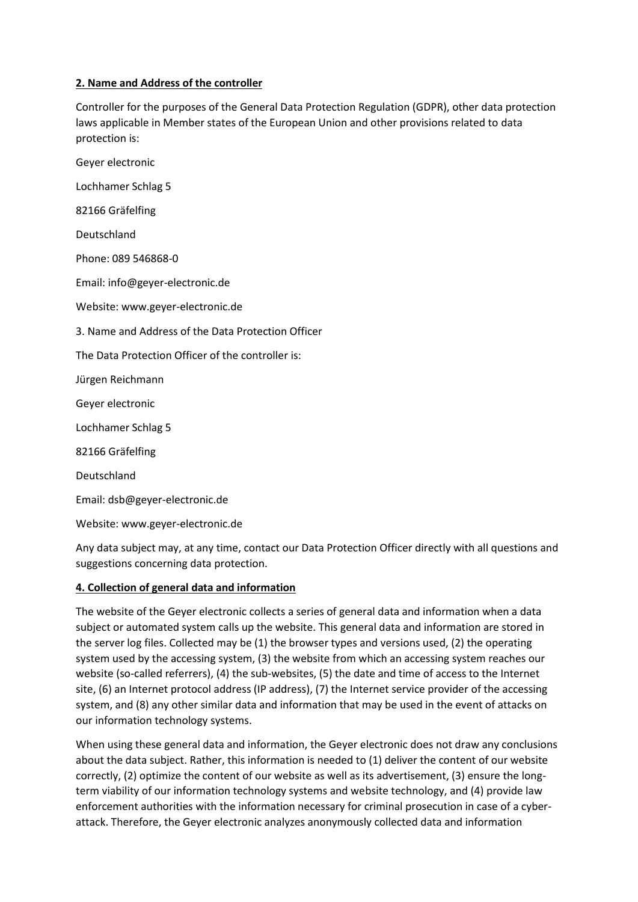## **2. Name and Address of the controller**

Controller for the purposes of the General Data Protection Regulation (GDPR), other data protection laws applicable in Member states of the European Union and other provisions related to data protection is:

Geyer electronic Lochhamer Schlag 5 82166 Gräfelfing Deutschland Phone: 089 546868-0 Email: info@geyer-electronic.de Website: www.geyer-electronic.de 3. Name and Address of the Data Protection Officer The Data Protection Officer of the controller is: Jürgen Reichmann Geyer electronic Lochhamer Schlag 5 82166 Gräfelfing Deutschland Email: dsb@geyer-electronic.de Website: www.geyer-electronic.de

Any data subject may, at any time, contact our Data Protection Officer directly with all questions and suggestions concerning data protection.

### **4. Collection of general data and information**

The website of the Geyer electronic collects a series of general data and information when a data subject or automated system calls up the website. This general data and information are stored in the server log files. Collected may be (1) the browser types and versions used, (2) the operating system used by the accessing system, (3) the website from which an accessing system reaches our website (so-called referrers), (4) the sub-websites, (5) the date and time of access to the Internet site, (6) an Internet protocol address (IP address), (7) the Internet service provider of the accessing system, and (8) any other similar data and information that may be used in the event of attacks on our information technology systems.

When using these general data and information, the Geyer electronic does not draw any conclusions about the data subject. Rather, this information is needed to (1) deliver the content of our website correctly, (2) optimize the content of our website as well as its advertisement, (3) ensure the longterm viability of our information technology systems and website technology, and (4) provide law enforcement authorities with the information necessary for criminal prosecution in case of a cyberattack. Therefore, the Geyer electronic analyzes anonymously collected data and information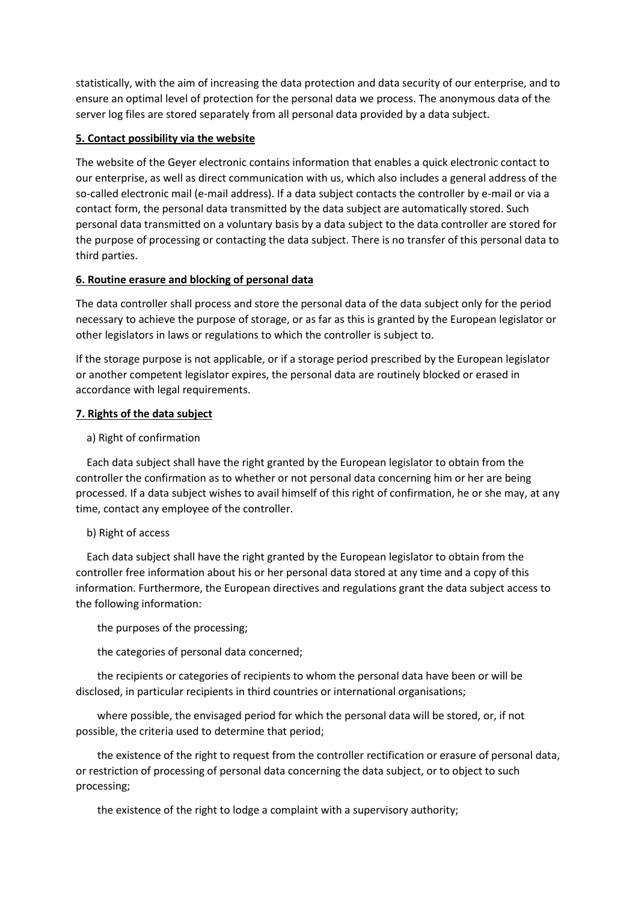statistically, with the aim of increasing the data protection and data security of our enterprise, and to ensure an optimal level of protection for the personal data we process. The anonymous data of the server log files are stored separately from all personal data provided by a data subject.

## **5. Contact possibility via the website**

The website of the Geyer electronic contains information that enables a quick electronic contact to our enterprise, as well as direct communication with us, which also includes a general address of the so-called electronic mail (e-mail address). If a data subject contacts the controller by e-mail or via a contact form, the personal data transmitted by the data subject are automatically stored. Such personal data transmitted on a voluntary basis by a data subject to the data controller are stored for the purpose of processing or contacting the data subject. There is no transfer of this personal data to third parties.

## **6. Routine erasure and blocking of personal data**

The data controller shall process and store the personal data of the data subject only for the period necessary to achieve the purpose of storage, or as far as this is granted by the European legislator or other legislators in laws or regulations to which the controller is subject to.

If the storage purpose is not applicable, or if a storage period prescribed by the European legislator or another competent legislator expires, the personal data are routinely blocked or erased in accordance with legal requirements.

### **7. Rights of the data subject**

## a) Right of confirmation

 Each data subject shall have the right granted by the European legislator to obtain from the controller the confirmation as to whether or not personal data concerning him or her are being processed. If a data subject wishes to avail himself of this right of confirmation, he or she may, at any time, contact any employee of the controller.

### b) Right of access

 Each data subject shall have the right granted by the European legislator to obtain from the controller free information about his or her personal data stored at any time and a copy of this information. Furthermore, the European directives and regulations grant the data subject access to the following information:

the purposes of the processing;

the categories of personal data concerned;

 the recipients or categories of recipients to whom the personal data have been or will be disclosed, in particular recipients in third countries or international organisations;

 where possible, the envisaged period for which the personal data will be stored, or, if not possible, the criteria used to determine that period;

 the existence of the right to request from the controller rectification or erasure of personal data, or restriction of processing of personal data concerning the data subject, or to object to such processing;

the existence of the right to lodge a complaint with a supervisory authority;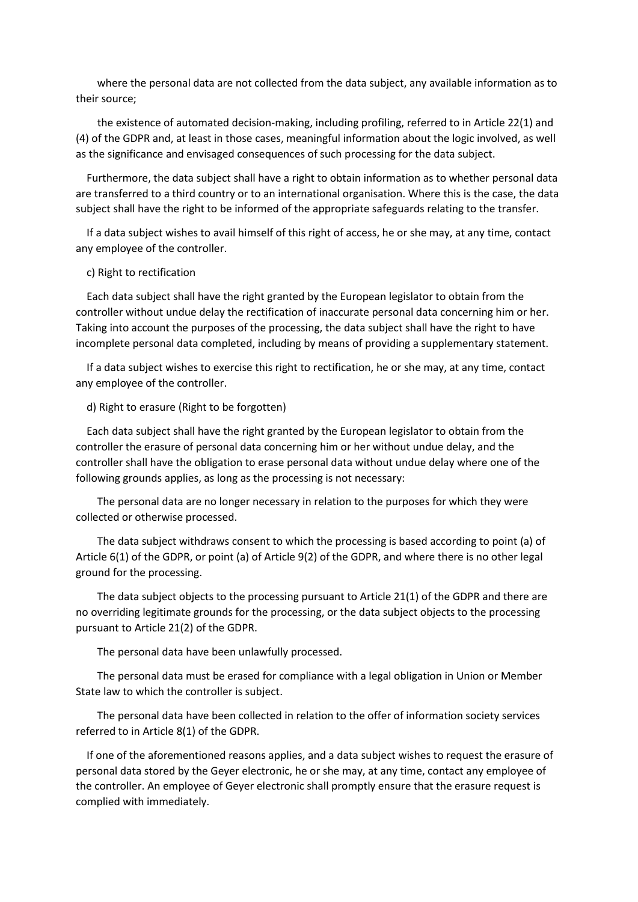where the personal data are not collected from the data subject, any available information as to their source;

 the existence of automated decision-making, including profiling, referred to in Article 22(1) and (4) of the GDPR and, at least in those cases, meaningful information about the logic involved, as well as the significance and envisaged consequences of such processing for the data subject.

 Furthermore, the data subject shall have a right to obtain information as to whether personal data are transferred to a third country or to an international organisation. Where this is the case, the data subject shall have the right to be informed of the appropriate safeguards relating to the transfer.

 If a data subject wishes to avail himself of this right of access, he or she may, at any time, contact any employee of the controller.

#### c) Right to rectification

 Each data subject shall have the right granted by the European legislator to obtain from the controller without undue delay the rectification of inaccurate personal data concerning him or her. Taking into account the purposes of the processing, the data subject shall have the right to have incomplete personal data completed, including by means of providing a supplementary statement.

 If a data subject wishes to exercise this right to rectification, he or she may, at any time, contact any employee of the controller.

d) Right to erasure (Right to be forgotten)

 Each data subject shall have the right granted by the European legislator to obtain from the controller the erasure of personal data concerning him or her without undue delay, and the controller shall have the obligation to erase personal data without undue delay where one of the following grounds applies, as long as the processing is not necessary:

 The personal data are no longer necessary in relation to the purposes for which they were collected or otherwise processed.

 The data subject withdraws consent to which the processing is based according to point (a) of Article 6(1) of the GDPR, or point (a) of Article 9(2) of the GDPR, and where there is no other legal ground for the processing.

 The data subject objects to the processing pursuant to Article 21(1) of the GDPR and there are no overriding legitimate grounds for the processing, or the data subject objects to the processing pursuant to Article 21(2) of the GDPR.

The personal data have been unlawfully processed.

 The personal data must be erased for compliance with a legal obligation in Union or Member State law to which the controller is subject.

 The personal data have been collected in relation to the offer of information society services referred to in Article 8(1) of the GDPR.

 If one of the aforementioned reasons applies, and a data subject wishes to request the erasure of personal data stored by the Geyer electronic, he or she may, at any time, contact any employee of the controller. An employee of Geyer electronic shall promptly ensure that the erasure request is complied with immediately.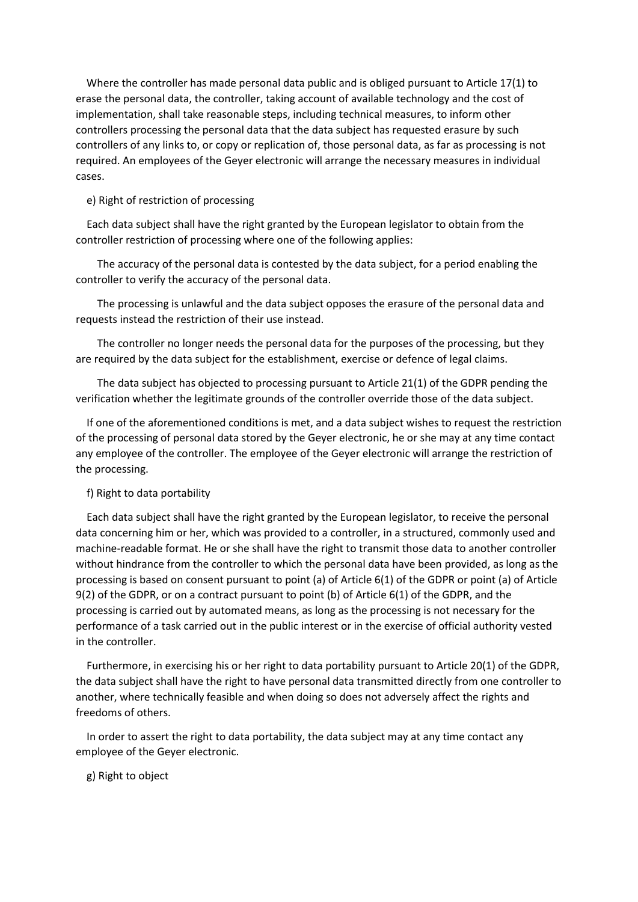Where the controller has made personal data public and is obliged pursuant to Article 17(1) to erase the personal data, the controller, taking account of available technology and the cost of implementation, shall take reasonable steps, including technical measures, to inform other controllers processing the personal data that the data subject has requested erasure by such controllers of any links to, or copy or replication of, those personal data, as far as processing is not required. An employees of the Geyer electronic will arrange the necessary measures in individual cases.

#### e) Right of restriction of processing

 Each data subject shall have the right granted by the European legislator to obtain from the controller restriction of processing where one of the following applies:

 The accuracy of the personal data is contested by the data subject, for a period enabling the controller to verify the accuracy of the personal data.

 The processing is unlawful and the data subject opposes the erasure of the personal data and requests instead the restriction of their use instead.

 The controller no longer needs the personal data for the purposes of the processing, but they are required by the data subject for the establishment, exercise or defence of legal claims.

 The data subject has objected to processing pursuant to Article 21(1) of the GDPR pending the verification whether the legitimate grounds of the controller override those of the data subject.

 If one of the aforementioned conditions is met, and a data subject wishes to request the restriction of the processing of personal data stored by the Geyer electronic, he or she may at any time contact any employee of the controller. The employee of the Geyer electronic will arrange the restriction of the processing.

#### f) Right to data portability

 Each data subject shall have the right granted by the European legislator, to receive the personal data concerning him or her, which was provided to a controller, in a structured, commonly used and machine-readable format. He or she shall have the right to transmit those data to another controller without hindrance from the controller to which the personal data have been provided, as long as the processing is based on consent pursuant to point (a) of Article 6(1) of the GDPR or point (a) of Article 9(2) of the GDPR, or on a contract pursuant to point (b) of Article 6(1) of the GDPR, and the processing is carried out by automated means, as long as the processing is not necessary for the performance of a task carried out in the public interest or in the exercise of official authority vested in the controller.

 Furthermore, in exercising his or her right to data portability pursuant to Article 20(1) of the GDPR, the data subject shall have the right to have personal data transmitted directly from one controller to another, where technically feasible and when doing so does not adversely affect the rights and freedoms of others.

 In order to assert the right to data portability, the data subject may at any time contact any employee of the Geyer electronic.

#### g) Right to object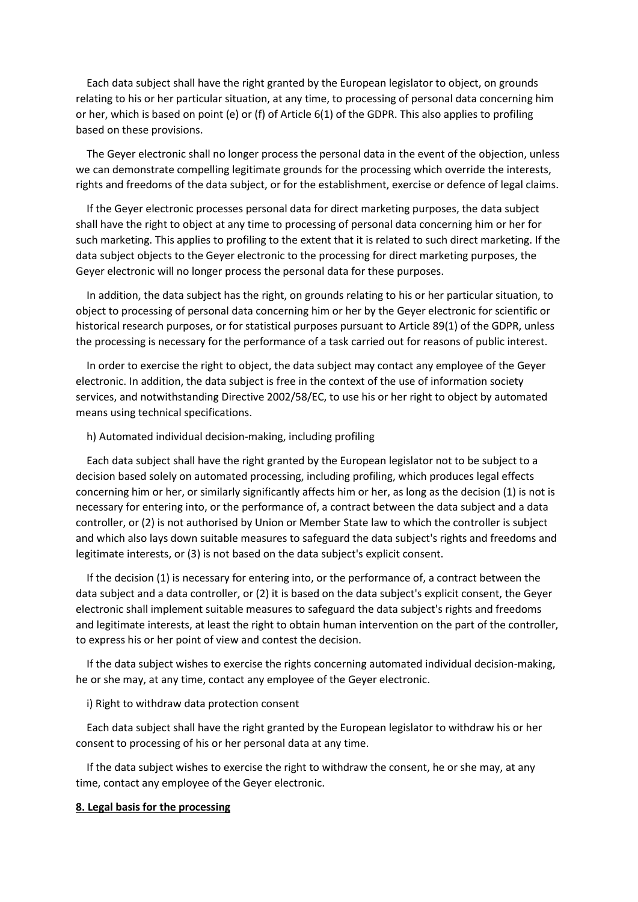Each data subject shall have the right granted by the European legislator to object, on grounds relating to his or her particular situation, at any time, to processing of personal data concerning him or her, which is based on point (e) or (f) of Article 6(1) of the GDPR. This also applies to profiling based on these provisions.

 The Geyer electronic shall no longer process the personal data in the event of the objection, unless we can demonstrate compelling legitimate grounds for the processing which override the interests, rights and freedoms of the data subject, or for the establishment, exercise or defence of legal claims.

 If the Geyer electronic processes personal data for direct marketing purposes, the data subject shall have the right to object at any time to processing of personal data concerning him or her for such marketing. This applies to profiling to the extent that it is related to such direct marketing. If the data subject objects to the Geyer electronic to the processing for direct marketing purposes, the Geyer electronic will no longer process the personal data for these purposes.

 In addition, the data subject has the right, on grounds relating to his or her particular situation, to object to processing of personal data concerning him or her by the Geyer electronic for scientific or historical research purposes, or for statistical purposes pursuant to Article 89(1) of the GDPR, unless the processing is necessary for the performance of a task carried out for reasons of public interest.

 In order to exercise the right to object, the data subject may contact any employee of the Geyer electronic. In addition, the data subject is free in the context of the use of information society services, and notwithstanding Directive 2002/58/EC, to use his or her right to object by automated means using technical specifications.

#### h) Automated individual decision-making, including profiling

 Each data subject shall have the right granted by the European legislator not to be subject to a decision based solely on automated processing, including profiling, which produces legal effects concerning him or her, or similarly significantly affects him or her, as long as the decision (1) is not is necessary for entering into, or the performance of, a contract between the data subject and a data controller, or (2) is not authorised by Union or Member State law to which the controller is subject and which also lays down suitable measures to safeguard the data subject's rights and freedoms and legitimate interests, or (3) is not based on the data subject's explicit consent.

 If the decision (1) is necessary for entering into, or the performance of, a contract between the data subject and a data controller, or (2) it is based on the data subject's explicit consent, the Geyer electronic shall implement suitable measures to safeguard the data subject's rights and freedoms and legitimate interests, at least the right to obtain human intervention on the part of the controller, to express his or her point of view and contest the decision.

 If the data subject wishes to exercise the rights concerning automated individual decision-making, he or she may, at any time, contact any employee of the Geyer electronic.

#### i) Right to withdraw data protection consent

 Each data subject shall have the right granted by the European legislator to withdraw his or her consent to processing of his or her personal data at any time.

 If the data subject wishes to exercise the right to withdraw the consent, he or she may, at any time, contact any employee of the Geyer electronic.

#### **8. Legal basis for the processing**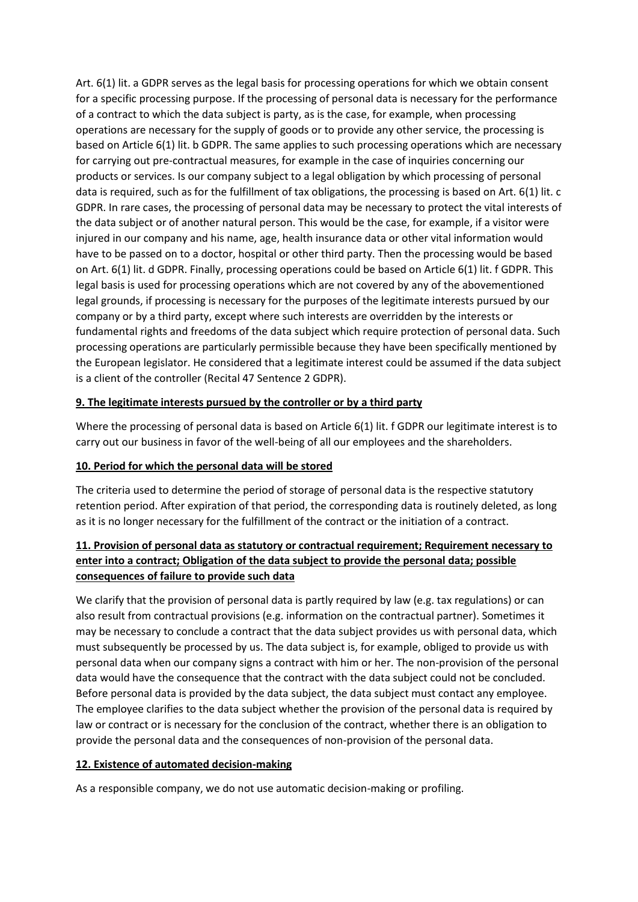Art. 6(1) lit. a GDPR serves as the legal basis for processing operations for which we obtain consent for a specific processing purpose. If the processing of personal data is necessary for the performance of a contract to which the data subject is party, as is the case, for example, when processing operations are necessary for the supply of goods or to provide any other service, the processing is based on Article 6(1) lit. b GDPR. The same applies to such processing operations which are necessary for carrying out pre-contractual measures, for example in the case of inquiries concerning our products or services. Is our company subject to a legal obligation by which processing of personal data is required, such as for the fulfillment of tax obligations, the processing is based on Art. 6(1) lit. c GDPR. In rare cases, the processing of personal data may be necessary to protect the vital interests of the data subject or of another natural person. This would be the case, for example, if a visitor were injured in our company and his name, age, health insurance data or other vital information would have to be passed on to a doctor, hospital or other third party. Then the processing would be based on Art. 6(1) lit. d GDPR. Finally, processing operations could be based on Article 6(1) lit. f GDPR. This legal basis is used for processing operations which are not covered by any of the abovementioned legal grounds, if processing is necessary for the purposes of the legitimate interests pursued by our company or by a third party, except where such interests are overridden by the interests or fundamental rights and freedoms of the data subject which require protection of personal data. Such processing operations are particularly permissible because they have been specifically mentioned by the European legislator. He considered that a legitimate interest could be assumed if the data subject is a client of the controller (Recital 47 Sentence 2 GDPR).

# **9. The legitimate interests pursued by the controller or by a third party**

Where the processing of personal data is based on Article 6(1) lit. f GDPR our legitimate interest is to carry out our business in favor of the well-being of all our employees and the shareholders.

### **10. Period for which the personal data will be stored**

The criteria used to determine the period of storage of personal data is the respective statutory retention period. After expiration of that period, the corresponding data is routinely deleted, as long as it is no longer necessary for the fulfillment of the contract or the initiation of a contract.

# **11. Provision of personal data as statutory or contractual requirement; Requirement necessary to enter into a contract; Obligation of the data subject to provide the personal data; possible consequences of failure to provide such data**

We clarify that the provision of personal data is partly required by law (e.g. tax regulations) or can also result from contractual provisions (e.g. information on the contractual partner). Sometimes it may be necessary to conclude a contract that the data subject provides us with personal data, which must subsequently be processed by us. The data subject is, for example, obliged to provide us with personal data when our company signs a contract with him or her. The non-provision of the personal data would have the consequence that the contract with the data subject could not be concluded. Before personal data is provided by the data subject, the data subject must contact any employee. The employee clarifies to the data subject whether the provision of the personal data is required by law or contract or is necessary for the conclusion of the contract, whether there is an obligation to provide the personal data and the consequences of non-provision of the personal data.

### **12. Existence of automated decision-making**

As a responsible company, we do not use automatic decision-making or profiling.